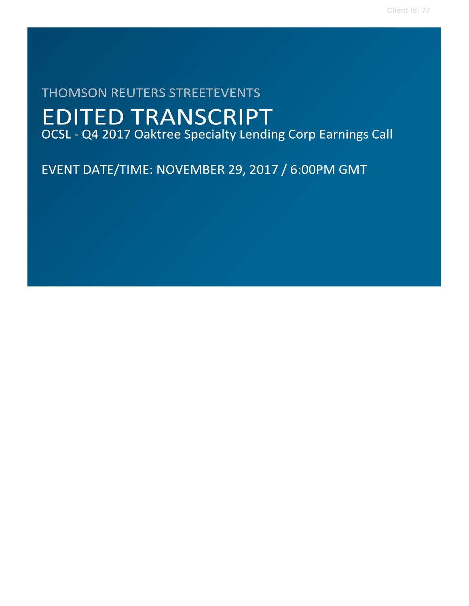# **THOMSON REUTERS STREETEVENTS EDITED TRANSCRIPT** OCSL - Q4 2017 Oaktree Specialty Lending Corp Earnings Call

EVENT DATE/TIME: NOVEMBER 29, 2017 / 6:00PM GMT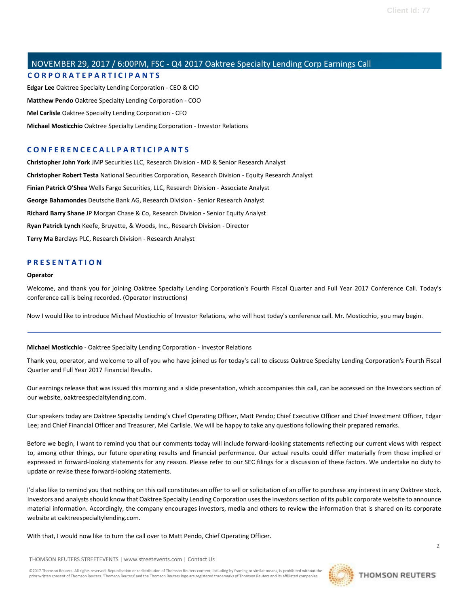# NOVEMBER 29, 2017 / 6:00PM, FSC - Q4 2017 Oaktree Specialty Lending Corp Earnings Call **C O R P O R A T E P A R T I C I P A N T S**

**Edgar Lee** Oaktree Specialty Lending Corporation - CEO & CIO **Matthew Pendo** Oaktree Specialty Lending Corporation - COO **Mel Carlisle** Oaktree Specialty Lending Corporation - CFO **Michael Mosticchio** Oaktree Specialty Lending Corporation - Investor Relations

### **C O N F E R E N C E C A L L P A R T I C I P A N T S**

**Christopher John York** JMP Securities LLC, Research Division - MD & Senior Research Analyst **Christopher Robert Testa** National Securities Corporation, Research Division - Equity Research Analyst **Finian Patrick O'Shea** Wells Fargo Securities, LLC, Research Division - Associate Analyst **George Bahamondes** Deutsche Bank AG, Research Division - Senior Research Analyst **Richard Barry Shane** JP Morgan Chase & Co, Research Division - Senior Equity Analyst **Ryan Patrick Lynch** Keefe, Bruyette, & Woods, Inc., Research Division - Director **Terry Ma** Barclays PLC, Research Division - Research Analyst

### **P R E S E N T A T I O N**

#### **Operator**

Welcome, and thank you for joining Oaktree Specialty Lending Corporation's Fourth Fiscal Quarter and Full Year 2017 Conference Call. Today's conference call is being recorded. (Operator Instructions)

Now I would like to introduce Michael Mosticchio of Investor Relations, who will host today's conference call. Mr. Mosticchio, you may begin.

#### **Michael Mosticchio** - Oaktree Specialty Lending Corporation - Investor Relations

Thank you, operator, and welcome to all of you who have joined us for today's call to discuss Oaktree Specialty Lending Corporation's Fourth Fiscal Quarter and Full Year 2017 Financial Results.

Our earnings release that was issued this morning and a slide presentation, which accompanies this call, can be accessed on the Investors section of our website, oaktreespecialtylending.com.

Our speakers today are Oaktree Specialty Lending's Chief Operating Officer, Matt Pendo; Chief Executive Officer and Chief Investment Officer, Edgar Lee; and Chief Financial Officer and Treasurer, Mel Carlisle. We will be happy to take any questions following their prepared remarks.

Before we begin, I want to remind you that our comments today will include forward-looking statements reflecting our current views with respect to, among other things, our future operating results and financial performance. Our actual results could differ materially from those implied or expressed in forward-looking statements for any reason. Please refer to our SEC filings for a discussion of these factors. We undertake no duty to update or revise these forward-looking statements.

I'd also like to remind you that nothing on this call constitutes an offer to sell or solicitation of an offer to purchase any interest in any Oaktree stock. Investors and analysts should know that Oaktree Specialty Lending Corporation uses the Investors section of its public corporate website to announce material information. Accordingly, the company encourages investors, media and others to review the information that is shared on its corporate website at oaktreespecialtylending.com.

With that, I would now like to turn the call over to Matt Pendo, Chief Operating Officer.

THOMSON REUTERS STREETEVENTS | www.streetevents.com | Contact Us

©2017 Thomson Reuters. All rights reserved. Republication or redistribution of Thomson Reuters content, including by framing or similar means, is prohibited without the prior written consent of Thomson Reuters. 'Thomson Reuters' and the Thomson Reuters logo are registered trademarks of Thomson Reuters and its affiliated companies.

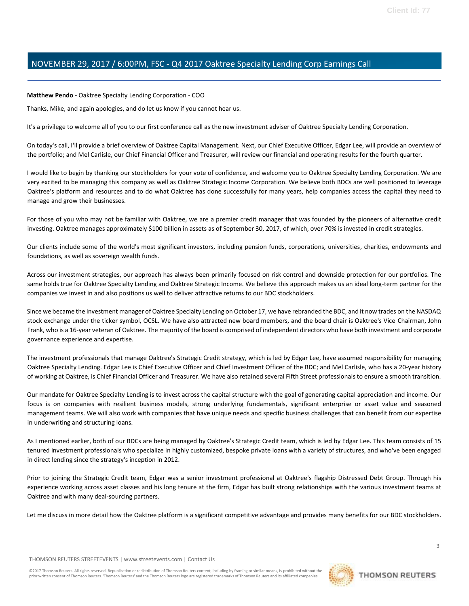**Matthew Pendo** - Oaktree Specialty Lending Corporation - COO

Thanks, Mike, and again apologies, and do let us know if you cannot hear us.

It's a privilege to welcome all of you to our first conference call as the new investment adviser of Oaktree Specialty Lending Corporation.

On today's call, I'll provide a brief overview of Oaktree Capital Management. Next, our Chief Executive Officer, Edgar Lee, will provide an overview of the portfolio; and Mel Carlisle, our Chief Financial Officer and Treasurer, will review our financial and operating results for the fourth quarter.

I would like to begin by thanking our stockholders for your vote of confidence, and welcome you to Oaktree Specialty Lending Corporation. We are very excited to be managing this company as well as Oaktree Strategic Income Corporation. We believe both BDCs are well positioned to leverage Oaktree's platform and resources and to do what Oaktree has done successfully for many years, help companies access the capital they need to manage and grow their businesses.

For those of you who may not be familiar with Oaktree, we are a premier credit manager that was founded by the pioneers of alternative credit investing. Oaktree manages approximately \$100 billion in assets as of September 30, 2017, of which, over 70% is invested in credit strategies.

Our clients include some of the world's most significant investors, including pension funds, corporations, universities, charities, endowments and foundations, as well as sovereign wealth funds.

Across our investment strategies, our approach has always been primarily focused on risk control and downside protection for our portfolios. The same holds true for Oaktree Specialty Lending and Oaktree Strategic Income. We believe this approach makes us an ideal long-term partner for the companies we invest in and also positions us well to deliver attractive returns to our BDC stockholders.

Since we became the investment manager of Oaktree Specialty Lending on October 17, we have rebranded the BDC, and it now trades on the NASDAQ stock exchange under the ticker symbol, OCSL. We have also attracted new board members, and the board chair is Oaktree's Vice Chairman, John Frank, who is a 16-year veteran of Oaktree. The majority of the board is comprised of independent directors who have both investment and corporate governance experience and expertise.

The investment professionals that manage Oaktree's Strategic Credit strategy, which is led by Edgar Lee, have assumed responsibility for managing Oaktree Specialty Lending. Edgar Lee is Chief Executive Officer and Chief Investment Officer of the BDC; and Mel Carlisle, who has a 20-year history of working at Oaktree, is Chief Financial Officer and Treasurer. We have also retained several Fifth Street professionals to ensure a smooth transition.

Our mandate for Oaktree Specialty Lending is to invest across the capital structure with the goal of generating capital appreciation and income. Our focus is on companies with resilient business models, strong underlying fundamentals, significant enterprise or asset value and seasoned management teams. We will also work with companies that have unique needs and specific business challenges that can benefit from our expertise in underwriting and structuring loans.

As I mentioned earlier, both of our BDCs are being managed by Oaktree's Strategic Credit team, which is led by Edgar Lee. This team consists of 15 tenured investment professionals who specialize in highly customized, bespoke private loans with a variety of structures, and who've been engaged in direct lending since the strategy's inception in 2012.

Prior to joining the Strategic Credit team, Edgar was a senior investment professional at Oaktree's flagship Distressed Debt Group. Through his experience working across asset classes and his long tenure at the firm, Edgar has built strong relationships with the various investment teams at Oaktree and with many deal-sourcing partners.

Let me discuss in more detail how the Oaktree platform is a significant competitive advantage and provides many benefits for our BDC stockholders.

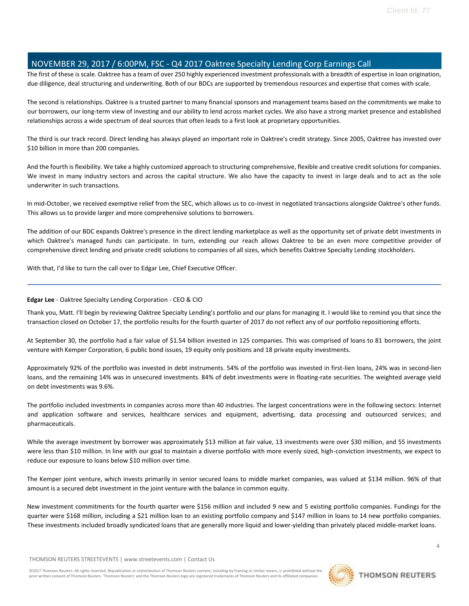The first of these is scale. Oaktree has a team of over 250 highly experienced investment professionals with a breadth of expertise in loan origination, due diligence, deal structuring and underwriting. Both of our BDCs are supported by tremendous resources and expertise that comes with scale.

The second is relationships. Oaktree is a trusted partner to many financial sponsors and management teams based on the commitments we make to our borrowers, our long-term view of investing and our ability to lend across market cycles. We also have a strong market presence and established relationships across a wide spectrum of deal sources that often leads to a first look at proprietary opportunities.

The third is our track record. Direct lending has always played an important role in Oaktree's credit strategy. Since 2005, Oaktree has invested over \$10 billion in more than 200 companies.

And the fourth is flexibility. We take a highly customized approach to structuring comprehensive, flexible and creative credit solutions for companies. We invest in many industry sectors and across the capital structure. We also have the capacity to invest in large deals and to act as the sole underwriter in such transactions.

In mid-October, we received exemptive relief from the SEC, which allows us to co-invest in negotiated transactions alongside Oaktree's other funds. This allows us to provide larger and more comprehensive solutions to borrowers.

The addition of our BDC expands Oaktree's presence in the direct lending marketplace as well as the opportunity set of private debt investments in which Oaktree's managed funds can participate. In turn, extending our reach allows Oaktree to be an even more competitive provider of comprehensive direct lending and private credit solutions to companies of all sizes, which benefits Oaktree Specialty Lending stockholders.

With that, I'd like to turn the call over to Edgar Lee, Chief Executive Officer.

### **Edgar Lee** - Oaktree Specialty Lending Corporation - CEO & CIO

Thank you, Matt. I'll begin by reviewing Oaktree Specialty Lending's portfolio and our plans for managing it. I would like to remind you that since the transaction closed on October 17, the portfolio results for the fourth quarter of 2017 do not reflect any of our portfolio repositioning efforts.

At September 30, the portfolio had a fair value of \$1.54 billion invested in 125 companies. This was comprised of loans to 81 borrowers, the joint venture with Kemper Corporation, 6 public bond issues, 19 equity only positions and 18 private equity investments.

Approximately 92% of the portfolio was invested in debt instruments. 54% of the portfolio was invested in first-lien loans, 24% was in second-lien loans, and the remaining 14% was in unsecured investments. 84% of debt investments were in floating-rate securities. The weighted average yield on debt investments was 9.6%.

The portfolio included investments in companies across more than 40 industries. The largest concentrations were in the following sectors: Internet and application software and services, healthcare services and equipment, advertising, data processing and outsourced services; and pharmaceuticals.

While the average investment by borrower was approximately \$13 million at fair value, 13 investments were over \$30 million, and 55 investments were less than \$10 million. In line with our goal to maintain a diverse portfolio with more evenly sized, high-conviction investments, we expect to reduce our exposure to loans below \$10 million over time.

The Kemper joint venture, which invests primarily in senior secured loans to middle market companies, was valued at \$134 million. 96% of that amount is a secured debt investment in the joint venture with the balance in common equity.

New investment commitments for the fourth quarter were \$156 million and included 9 new and 5 existing portfolio companies. Fundings for the quarter were \$168 million, including a \$21 million loan to an existing portfolio company and \$147 million in loans to 14 new portfolio companies. These investments included broadly syndicated loans that are generally more liquid and lower-yielding than privately placed middle-market loans.

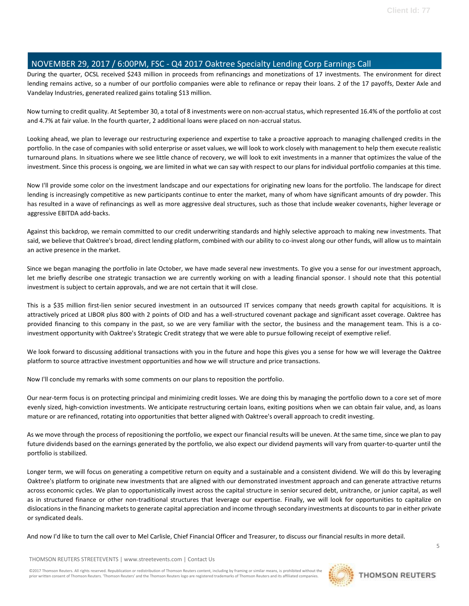During the quarter, OCSL received \$243 million in proceeds from refinancings and monetizations of 17 investments. The environment for direct lending remains active, so a number of our portfolio companies were able to refinance or repay their loans. 2 of the 17 payoffs, Dexter Axle and Vandelay Industries, generated realized gains totaling \$13 million.

Now turning to credit quality. At September 30, a total of 8 investments were on non-accrual status, which represented 16.4% of the portfolio at cost and 4.7% at fair value. In the fourth quarter, 2 additional loans were placed on non-accrual status.

Looking ahead, we plan to leverage our restructuring experience and expertise to take a proactive approach to managing challenged credits in the portfolio. In the case of companies with solid enterprise or asset values, we will look to work closely with management to help them execute realistic turnaround plans. In situations where we see little chance of recovery, we will look to exit investments in a manner that optimizes the value of the investment. Since this process is ongoing, we are limited in what we can say with respect to our plans for individual portfolio companies at this time.

Now I'll provide some color on the investment landscape and our expectations for originating new loans for the portfolio. The landscape for direct lending is increasingly competitive as new participants continue to enter the market, many of whom have significant amounts of dry powder. This has resulted in a wave of refinancings as well as more aggressive deal structures, such as those that include weaker covenants, higher leverage or aggressive EBITDA add-backs.

Against this backdrop, we remain committed to our credit underwriting standards and highly selective approach to making new investments. That said, we believe that Oaktree's broad, direct lending platform, combined with our ability to co-invest along our other funds, will allow us to maintain an active presence in the market.

Since we began managing the portfolio in late October, we have made several new investments. To give you a sense for our investment approach, let me briefly describe one strategic transaction we are currently working on with a leading financial sponsor. I should note that this potential investment is subject to certain approvals, and we are not certain that it will close.

This is a \$35 million first-lien senior secured investment in an outsourced IT services company that needs growth capital for acquisitions. It is attractively priced at LIBOR plus 800 with 2 points of OID and has a well-structured covenant package and significant asset coverage. Oaktree has provided financing to this company in the past, so we are very familiar with the sector, the business and the management team. This is a coinvestment opportunity with Oaktree's Strategic Credit strategy that we were able to pursue following receipt of exemptive relief.

We look forward to discussing additional transactions with you in the future and hope this gives you a sense for how we will leverage the Oaktree platform to source attractive investment opportunities and how we will structure and price transactions.

Now I'll conclude my remarks with some comments on our plans to reposition the portfolio.

Our near-term focus is on protecting principal and minimizing credit losses. We are doing this by managing the portfolio down to a core set of more evenly sized, high-conviction investments. We anticipate restructuring certain loans, exiting positions when we can obtain fair value, and, as loans mature or are refinanced, rotating into opportunities that better aligned with Oaktree's overall approach to credit investing.

As we move through the process of repositioning the portfolio, we expect our financial results will be uneven. At the same time, since we plan to pay future dividends based on the earnings generated by the portfolio, we also expect our dividend payments will vary from quarter-to-quarter until the portfolio is stabilized.

Longer term, we will focus on generating a competitive return on equity and a sustainable and a consistent dividend. We will do this by leveraging Oaktree's platform to originate new investments that are aligned with our demonstrated investment approach and can generate attractive returns across economic cycles. We plan to opportunistically invest across the capital structure in senior secured debt, unitranche, or junior capital, as well as in structured finance or other non-traditional structures that leverage our expertise. Finally, we will look for opportunities to capitalize on dislocations in the financing markets to generate capital appreciation and income through secondary investments at discounts to par in either private or syndicated deals.

And now I'd like to turn the call over to Mel Carlisle, Chief Financial Officer and Treasurer, to discuss our financial results in more detail.

THOMSON REUTERS STREETEVENTS | www.streetevents.com | Contact Us

©2017 Thomson Reuters. All rights reserved. Republication or redistribution of Thomson Reuters content, including by framing or similar means, is prohibited without the prior written consent of Thomson Reuters. 'Thomson Reuters' and the Thomson Reuters logo are registered trademarks of Thomson Reuters and its affiliated companies.

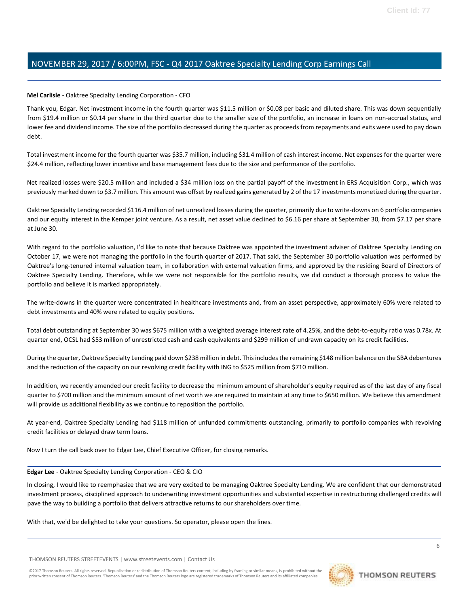### **Mel Carlisle** - Oaktree Specialty Lending Corporation - CFO

Thank you, Edgar. Net investment income in the fourth quarter was \$11.5 million or \$0.08 per basic and diluted share. This was down sequentially from \$19.4 million or \$0.14 per share in the third quarter due to the smaller size of the portfolio, an increase in loans on non-accrual status, and lower fee and dividend income. The size of the portfolio decreased during the quarter as proceeds from repayments and exits were used to pay down debt.

Total investment income for the fourth quarter was \$35.7 million, including \$31.4 million of cash interest income. Net expenses for the quarter were \$24.4 million, reflecting lower incentive and base management fees due to the size and performance of the portfolio.

Net realized losses were \$20.5 million and included a \$34 million loss on the partial payoff of the investment in ERS Acquisition Corp., which was previously marked down to \$3.7 million. This amount was offset by realized gains generated by 2 of the 17 investments monetized during the quarter.

Oaktree Specialty Lending recorded \$116.4 million of net unrealized losses during the quarter, primarily due to write-downs on 6 portfolio companies and our equity interest in the Kemper joint venture. As a result, net asset value declined to \$6.16 per share at September 30, from \$7.17 per share at June 30.

With regard to the portfolio valuation, I'd like to note that because Oaktree was appointed the investment adviser of Oaktree Specialty Lending on October 17, we were not managing the portfolio in the fourth quarter of 2017. That said, the September 30 portfolio valuation was performed by Oaktree's long-tenured internal valuation team, in collaboration with external valuation firms, and approved by the residing Board of Directors of Oaktree Specialty Lending. Therefore, while we were not responsible for the portfolio results, we did conduct a thorough process to value the portfolio and believe it is marked appropriately.

The write-downs in the quarter were concentrated in healthcare investments and, from an asset perspective, approximately 60% were related to debt investments and 40% were related to equity positions.

Total debt outstanding at September 30 was \$675 million with a weighted average interest rate of 4.25%, and the debt-to-equity ratio was 0.78x. At quarter end, OCSL had \$53 million of unrestricted cash and cash equivalents and \$299 million of undrawn capacity on its credit facilities.

During the quarter, Oaktree Specialty Lending paid down \$238 million in debt. This includes the remaining \$148 million balance on the SBA debentures and the reduction of the capacity on our revolving credit facility with ING to \$525 million from \$710 million.

In addition, we recently amended our credit facility to decrease the minimum amount of shareholder's equity required as of the last day of any fiscal quarter to \$700 million and the minimum amount of net worth we are required to maintain at any time to \$650 million. We believe this amendment will provide us additional flexibility as we continue to reposition the portfolio.

At year-end, Oaktree Specialty Lending had \$118 million of unfunded commitments outstanding, primarily to portfolio companies with revolving credit facilities or delayed draw term loans.

Now I turn the call back over to Edgar Lee, Chief Executive Officer, for closing remarks.

#### **Edgar Lee** - Oaktree Specialty Lending Corporation - CEO & CIO

In closing, I would like to reemphasize that we are very excited to be managing Oaktree Specialty Lending. We are confident that our demonstrated investment process, disciplined approach to underwriting investment opportunities and substantial expertise in restructuring challenged credits will pave the way to building a portfolio that delivers attractive returns to our shareholders over time.

With that, we'd be delighted to take your questions. So operator, please open the lines.

THOMSON REUTERS STREETEVENTS | www.streetevents.com | Contact Us

©2017 Thomson Reuters. All rights reserved. Republication or redistribution of Thomson Reuters content, including by framing or similar means, is prohibited without the prior written consent of Thomson Reuters. 'Thomson Reuters' and the Thomson Reuters logo are registered trademarks of Thomson Reuters and its affiliated companies.

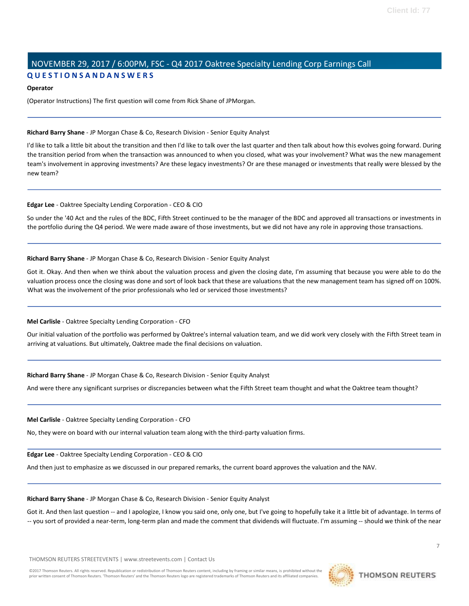# NOVEMBER 29, 2017 / 6:00PM, FSC - Q4 2017 Oaktree Specialty Lending Corp Earnings Call **Q U E S T I O N S A N D A N S W E R S**

#### **Operator**

(Operator Instructions) The first question will come from Rick Shane of JPMorgan.

#### **Richard Barry Shane** - JP Morgan Chase & Co, Research Division - Senior Equity Analyst

I'd like to talk a little bit about the transition and then I'd like to talk over the last quarter and then talk about how this evolves going forward. During the transition period from when the transaction was announced to when you closed, what was your involvement? What was the new management team's involvement in approving investments? Are these legacy investments? Or are these managed or investments that really were blessed by the new team?

#### **Edgar Lee** - Oaktree Specialty Lending Corporation - CEO & CIO

So under the '40 Act and the rules of the BDC, Fifth Street continued to be the manager of the BDC and approved all transactions or investments in the portfolio during the Q4 period. We were made aware of those investments, but we did not have any role in approving those transactions.

#### **Richard Barry Shane** - JP Morgan Chase & Co, Research Division - Senior Equity Analyst

Got it. Okay. And then when we think about the valuation process and given the closing date, I'm assuming that because you were able to do the valuation process once the closing was done and sort of look back that these are valuations that the new management team has signed off on 100%. What was the involvement of the prior professionals who led or serviced those investments?

#### **Mel Carlisle** - Oaktree Specialty Lending Corporation - CFO

Our initial valuation of the portfolio was performed by Oaktree's internal valuation team, and we did work very closely with the Fifth Street team in arriving at valuations. But ultimately, Oaktree made the final decisions on valuation.

#### **Richard Barry Shane** - JP Morgan Chase & Co, Research Division - Senior Equity Analyst

And were there any significant surprises or discrepancies between what the Fifth Street team thought and what the Oaktree team thought?

#### **Mel Carlisle** - Oaktree Specialty Lending Corporation - CFO

No, they were on board with our internal valuation team along with the third-party valuation firms.

**Edgar Lee** - Oaktree Specialty Lending Corporation - CEO & CIO

And then just to emphasize as we discussed in our prepared remarks, the current board approves the valuation and the NAV.

### **Richard Barry Shane** - JP Morgan Chase & Co, Research Division - Senior Equity Analyst

Got it. And then last question -- and I apologize, I know you said one, only one, but I've going to hopefully take it a little bit of advantage. In terms of -- you sort of provided a near-term, long-term plan and made the comment that dividends will fluctuate. I'm assuming -- should we think of the near

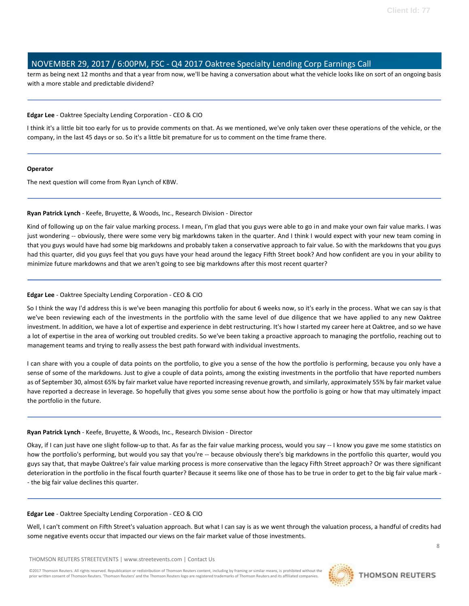term as being next 12 months and that a year from now, we'll be having a conversation about what the vehicle looks like on sort of an ongoing basis with a more stable and predictable dividend?

#### **Edgar Lee** - Oaktree Specialty Lending Corporation - CEO & CIO

I think it's a little bit too early for us to provide comments on that. As we mentioned, we've only taken over these operations of the vehicle, or the company, in the last 45 days or so. So it's a little bit premature for us to comment on the time frame there.

#### **Operator**

The next question will come from Ryan Lynch of KBW.

#### **Ryan Patrick Lynch** - Keefe, Bruyette, & Woods, Inc., Research Division - Director

Kind of following up on the fair value marking process. I mean, I'm glad that you guys were able to go in and make your own fair value marks. I was just wondering -- obviously, there were some very big markdowns taken in the quarter. And I think I would expect with your new team coming in that you guys would have had some big markdowns and probably taken a conservative approach to fair value. So with the markdowns that you guys had this quarter, did you guys feel that you guys have your head around the legacy Fifth Street book? And how confident are you in your ability to minimize future markdowns and that we aren't going to see big markdowns after this most recent quarter?

#### **Edgar Lee** - Oaktree Specialty Lending Corporation - CEO & CIO

So I think the way I'd address this is we've been managing this portfolio for about 6 weeks now, so it's early in the process. What we can say is that we've been reviewing each of the investments in the portfolio with the same level of due diligence that we have applied to any new Oaktree investment. In addition, we have a lot of expertise and experience in debt restructuring. It's how I started my career here at Oaktree, and so we have a lot of expertise in the area of working out troubled credits. So we've been taking a proactive approach to managing the portfolio, reaching out to management teams and trying to really assess the best path forward with individual investments.

I can share with you a couple of data points on the portfolio, to give you a sense of the how the portfolio is performing, because you only have a sense of some of the markdowns. Just to give a couple of data points, among the existing investments in the portfolio that have reported numbers as of September 30, almost 65% by fair market value have reported increasing revenue growth, and similarly, approximately 55% by fair market value have reported a decrease in leverage. So hopefully that gives you some sense about how the portfolio is going or how that may ultimately impact the portfolio in the future.

#### **Ryan Patrick Lynch** - Keefe, Bruyette, & Woods, Inc., Research Division - Director

Okay, if I can just have one slight follow-up to that. As far as the fair value marking process, would you say -- I know you gave me some statistics on how the portfolio's performing, but would you say that you're -- because obviously there's big markdowns in the portfolio this quarter, would you guys say that, that maybe Oaktree's fair value marking process is more conservative than the legacy Fifth Street approach? Or was there significant deterioration in the portfolio in the fiscal fourth quarter? Because it seems like one of those has to be true in order to get to the big fair value mark - - the big fair value declines this quarter.

#### **Edgar Lee** - Oaktree Specialty Lending Corporation - CEO & CIO

Well, I can't comment on Fifth Street's valuation approach. But what I can say is as we went through the valuation process, a handful of credits had some negative events occur that impacted our views on the fair market value of those investments.

THOMSON REUTERS STREETEVENTS | www.streetevents.com | Contact Us

©2017 Thomson Reuters. All rights reserved. Republication or redistribution of Thomson Reuters content, including by framing or similar means, is prohibited without the prior written consent of Thomson Reuters. 'Thomson Reuters' and the Thomson Reuters logo are registered trademarks of Thomson Reuters and its affiliated companies.

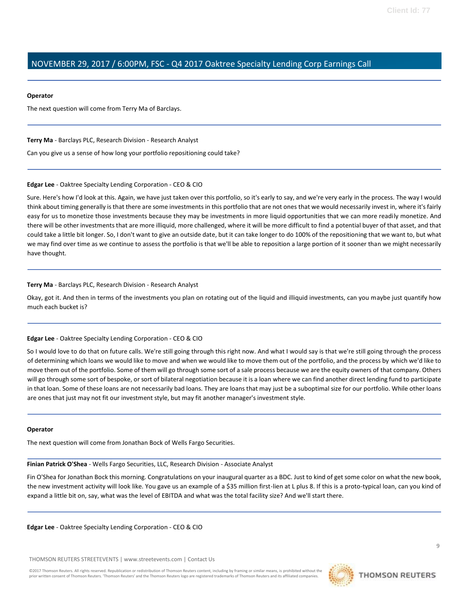#### **Operator**

The next question will come from Terry Ma of Barclays.

#### **Terry Ma** - Barclays PLC, Research Division - Research Analyst

Can you give us a sense of how long your portfolio repositioning could take?

#### **Edgar Lee** - Oaktree Specialty Lending Corporation - CEO & CIO

Sure. Here's how I'd look at this. Again, we have just taken over this portfolio, so it's early to say, and we're very early in the process. The way I would think about timing generally is that there are some investments in this portfolio that are not ones that we would necessarily invest in, where it's fairly easy for us to monetize those investments because they may be investments in more liquid opportunities that we can more readily monetize. And there will be other investments that are more illiquid, more challenged, where it will be more difficult to find a potential buyer of that asset, and that could take a little bit longer. So, I don't want to give an outside date, but it can take longer to do 100% of the repositioning that we want to, but what we may find over time as we continue to assess the portfolio is that we'll be able to reposition a large portion of it sooner than we might necessarily have thought.

### **Terry Ma** - Barclays PLC, Research Division - Research Analyst

Okay, got it. And then in terms of the investments you plan on rotating out of the liquid and illiquid investments, can you maybe just quantify how much each bucket is?

#### **Edgar Lee** - Oaktree Specialty Lending Corporation - CEO & CIO

So I would love to do that on future calls. We're still going through this right now. And what I would say is that we're still going through the process of determining which loans we would like to move and when we would like to move them out of the portfolio, and the process by which we'd like to move them out of the portfolio. Some of them will go through some sort of a sale process because we are the equity owners of that company. Others will go through some sort of bespoke, or sort of bilateral negotiation because it is a loan where we can find another direct lending fund to participate in that loan. Some of these loans are not necessarily bad loans. They are loans that may just be a suboptimal size for our portfolio. While other loans are ones that just may not fit our investment style, but may fit another manager's investment style.

#### **Operator**

The next question will come from Jonathan Bock of Wells Fargo Securities.

**Finian Patrick O'Shea** - Wells Fargo Securities, LLC, Research Division - Associate Analyst

Fin O'Shea for Jonathan Bock this morning. Congratulations on your inaugural quarter as a BDC. Just to kind of get some color on what the new book, the new investment activity will look like. You gave us an example of a \$35 million first-lien at L plus 8. If this is a proto-typical loan, can you kind of expand a little bit on, say, what was the level of EBITDA and what was the total facility size? And we'll start there.

**Edgar Lee** - Oaktree Specialty Lending Corporation - CEO & CIO

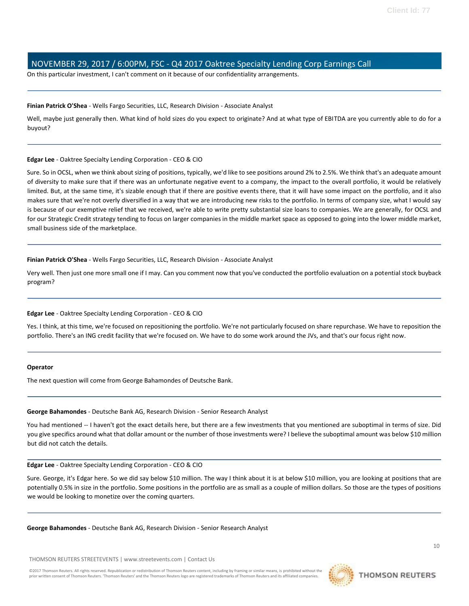On this particular investment, I can't comment on it because of our confidentiality arrangements.

#### **Finian Patrick O'Shea** - Wells Fargo Securities, LLC, Research Division - Associate Analyst

Well, maybe just generally then. What kind of hold sizes do you expect to originate? And at what type of EBITDA are you currently able to do for a buyout?

#### **Edgar Lee** - Oaktree Specialty Lending Corporation - CEO & CIO

Sure. So in OCSL, when we think about sizing of positions, typically, we'd like to see positions around 2% to 2.5%. We think that's an adequate amount of diversity to make sure that if there was an unfortunate negative event to a company, the impact to the overall portfolio, it would be relatively limited. But, at the same time, it's sizable enough that if there are positive events there, that it will have some impact on the portfolio, and it also makes sure that we're not overly diversified in a way that we are introducing new risks to the portfolio. In terms of company size, what I would say is because of our exemptive relief that we received, we're able to write pretty substantial size loans to companies. We are generally, for OCSL and for our Strategic Credit strategy tending to focus on larger companies in the middle market space as opposed to going into the lower middle market, small business side of the marketplace.

### **Finian Patrick O'Shea** - Wells Fargo Securities, LLC, Research Division - Associate Analyst

Very well. Then just one more small one if I may. Can you comment now that you've conducted the portfolio evaluation on a potential stock buyback program?

### **Edgar Lee** - Oaktree Specialty Lending Corporation - CEO & CIO

Yes. I think, at this time, we're focused on repositioning the portfolio. We're not particularly focused on share repurchase. We have to reposition the portfolio. There's an ING credit facility that we're focused on. We have to do some work around the JVs, and that's our focus right now.

#### **Operator**

The next question will come from George Bahamondes of Deutsche Bank.

#### **George Bahamondes** - Deutsche Bank AG, Research Division - Senior Research Analyst

You had mentioned -- I haven't got the exact details here, but there are a few investments that you mentioned are suboptimal in terms of size. Did you give specifics around what that dollar amount or the number of those investments were? I believe the suboptimal amount was below \$10 million but did not catch the details.

#### **Edgar Lee** - Oaktree Specialty Lending Corporation - CEO & CIO

Sure. George, it's Edgar here. So we did say below \$10 million. The way I think about it is at below \$10 million, you are looking at positions that are potentially 0.5% in size in the portfolio. Some positions in the portfolio are as small as a couple of million dollars. So those are the types of positions we would be looking to monetize over the coming quarters.

#### **George Bahamondes** - Deutsche Bank AG, Research Division - Senior Research Analyst

THOMSON REUTERS STREETEVENTS | www.streetevents.com | Contact Us

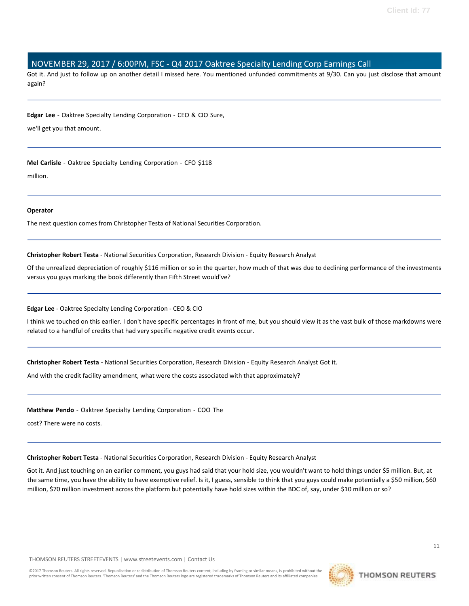Got it. And just to follow up on another detail I missed here. You mentioned unfunded commitments at 9/30. Can you just disclose that amount again?

**Edgar Lee** - Oaktree Specialty Lending Corporation - CEO & CIO Sure,

we'll get you that amount.

**Mel Carlisle** - Oaktree Specialty Lending Corporation - CFO \$118

million.

### **Operator**

The next question comes from Christopher Testa of National Securities Corporation.

**Christopher Robert Testa** - National Securities Corporation, Research Division - Equity Research Analyst

Of the unrealized depreciation of roughly \$116 million or so in the quarter, how much of that was due to declining performance of the investments versus you guys marking the book differently than Fifth Street would've?

### **Edgar Lee** - Oaktree Specialty Lending Corporation - CEO & CIO

I think we touched on this earlier. I don't have specific percentages in front of me, but you should view it as the vast bulk of those markdowns were related to a handful of credits that had very specific negative credit events occur.

**Christopher Robert Testa** - National Securities Corporation, Research Division - Equity Research Analyst Got it.

And with the credit facility amendment, what were the costs associated with that approximately?

**Matthew Pendo** - Oaktree Specialty Lending Corporation - COO The

cost? There were no costs.

**Christopher Robert Testa** - National Securities Corporation, Research Division - Equity Research Analyst

Got it. And just touching on an earlier comment, you guys had said that your hold size, you wouldn't want to hold things under \$5 million. But, at the same time, you have the ability to have exemptive relief. Is it, I guess, sensible to think that you guys could make potentially a \$50 million, \$60 million, \$70 million investment across the platform but potentially have hold sizes within the BDC of, say, under \$10 million or so?

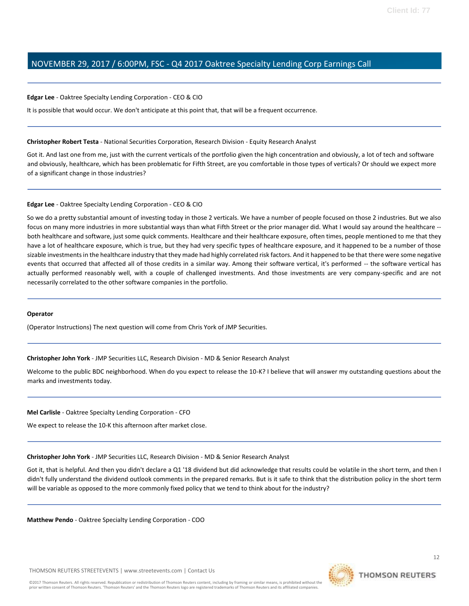#### **Edgar Lee** - Oaktree Specialty Lending Corporation - CEO & CIO

It is possible that would occur. We don't anticipate at this point that, that will be a frequent occurrence.

**Christopher Robert Testa** - National Securities Corporation, Research Division - Equity Research Analyst

Got it. And last one from me, just with the current verticals of the portfolio given the high concentration and obviously, a lot of tech and software and obviously, healthcare, which has been problematic for Fifth Street, are you comfortable in those types of verticals? Or should we expect more of a significant change in those industries?

#### **Edgar Lee** - Oaktree Specialty Lending Corporation - CEO & CIO

So we do a pretty substantial amount of investing today in those 2 verticals. We have a number of people focused on those 2 industries. But we also focus on many more industries in more substantial ways than what Fifth Street or the prior manager did. What I would say around the healthcare - both healthcare and software, just some quick comments. Healthcare and their healthcare exposure, often times, people mentioned to me that they have a lot of healthcare exposure, which is true, but they had very specific types of healthcare exposure, and it happened to be a number of those sizable investments in the healthcare industry that they made had highly correlated risk factors. And it happened to be that there were some negative events that occurred that affected all of those credits in a similar way. Among their software vertical, it's performed -- the software vertical has actually performed reasonably well, with a couple of challenged investments. And those investments are very company-specific and are not necessarily correlated to the other software companies in the portfolio.

#### **Operator**

(Operator Instructions) The next question will come from Chris York of JMP Securities.

**Christopher John York** - JMP Securities LLC, Research Division - MD & Senior Research Analyst

Welcome to the public BDC neighborhood. When do you expect to release the 10-K? I believe that will answer my outstanding questions about the marks and investments today.

**Mel Carlisle** - Oaktree Specialty Lending Corporation - CFO

We expect to release the 10-K this afternoon after market close.

#### **Christopher John York** - JMP Securities LLC, Research Division - MD & Senior Research Analyst

Got it, that is helpful. And then you didn't declare a Q1 '18 dividend but did acknowledge that results could be volatile in the short term, and then I didn't fully understand the dividend outlook comments in the prepared remarks. But is it safe to think that the distribution policy in the short term will be variable as opposed to the more commonly fixed policy that we tend to think about for the industry?

**Matthew Pendo** - Oaktree Specialty Lending Corporation - COO

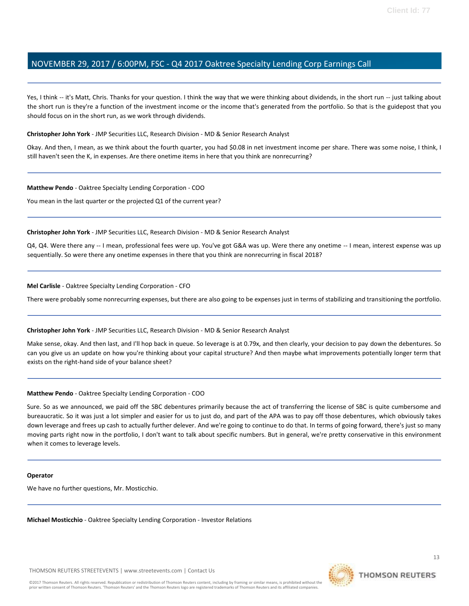Yes, I think -- it's Matt, Chris. Thanks for your question. I think the way that we were thinking about dividends, in the short run -- just talking about the short run is they're a function of the investment income or the income that's generated from the portfolio. So that is the guidepost that you should focus on in the short run, as we work through dividends.

**Christopher John York** - JMP Securities LLC, Research Division - MD & Senior Research Analyst

Okay. And then, I mean, as we think about the fourth quarter, you had \$0.08 in net investment income per share. There was some noise, I think, I still haven't seen the K, in expenses. Are there onetime items in here that you think are nonrecurring?

**Matthew Pendo** - Oaktree Specialty Lending Corporation - COO

You mean in the last quarter or the projected Q1 of the current year?

**Christopher John York** - JMP Securities LLC, Research Division - MD & Senior Research Analyst

Q4, Q4. Were there any -- I mean, professional fees were up. You've got G&A was up. Were there any onetime -- I mean, interest expense was up sequentially. So were there any onetime expenses in there that you think are nonrecurring in fiscal 2018?

**Mel Carlisle** - Oaktree Specialty Lending Corporation - CFO

There were probably some nonrecurring expenses, but there are also going to be expenses just in terms of stabilizing and transitioning the portfolio.

#### **Christopher John York** - JMP Securities LLC, Research Division - MD & Senior Research Analyst

Make sense, okay. And then last, and I'll hop back in queue. So leverage is at 0.79x, and then clearly, your decision to pay down the debentures. So can you give us an update on how you're thinking about your capital structure? And then maybe what improvements potentially longer term that exists on the right-hand side of your balance sheet?

**Matthew Pendo** - Oaktree Specialty Lending Corporation - COO

Sure. So as we announced, we paid off the SBC debentures primarily because the act of transferring the license of SBC is quite cumbersome and bureaucratic. So it was just a lot simpler and easier for us to just do, and part of the APA was to pay off those debentures, which obviously takes down leverage and frees up cash to actually further delever. And we're going to continue to do that. In terms of going forward, there's just so many moving parts right now in the portfolio, I don't want to talk about specific numbers. But in general, we're pretty conservative in this environment when it comes to leverage levels.

#### **Operator**

We have no further questions, Mr. Mosticchio.

**Michael Mosticchio** - Oaktree Specialty Lending Corporation - Investor Relations